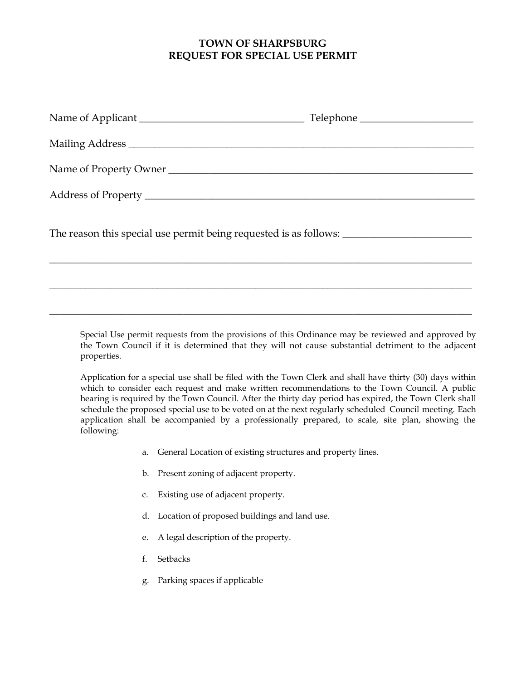## **TOWN OF SHARPSBURG REQUEST FOR SPECIAL USE PERMIT**

| Name of Property Owner |  |
|------------------------|--|
|                        |  |
|                        |  |
|                        |  |
|                        |  |

Special Use permit requests from the provisions of this Ordinance may be reviewed and approved by the Town Council if it is determined that they will not cause substantial detriment to the adjacent properties.

Application for a special use shall be filed with the Town Clerk and shall have thirty (30) days within which to consider each request and make written recommendations to the Town Council. A public hearing is required by the Town Council. After the thirty day period has expired, the Town Clerk shall schedule the proposed special use to be voted on at the next regularly scheduled Council meeting. Each application shall be accompanied by a professionally prepared, to scale, site plan, showing the following:

- a. General Location of existing structures and property lines.
- b. Present zoning of adjacent property.
- c. Existing use of adjacent property.
- d. Location of proposed buildings and land use.
- e. A legal description of the property.
- f. Setbacks
- g. Parking spaces if applicable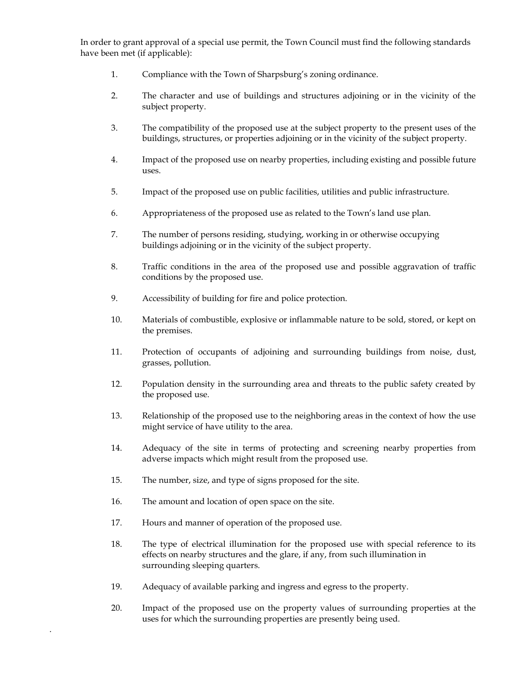In order to grant approval of a special use permit, the Town Council must find the following standards have been met (if applicable):

- 1. Compliance with the Town of Sharpsburg's zoning ordinance.
- 2. The character and use of buildings and structures adjoining or in the vicinity of the subject property.
- 3. The compatibility of the proposed use at the subject property to the present uses of the buildings, structures, or properties adjoining or in the vicinity of the subject property.
- 4. Impact of the proposed use on nearby properties, including existing and possible future uses.
- 5. Impact of the proposed use on public facilities, utilities and public infrastructure.
- 6. Appropriateness of the proposed use as related to the Town's land use plan.
- 7. The number of persons residing, studying, working in or otherwise occupying buildings adjoining or in the vicinity of the subject property.
- 8. Traffic conditions in the area of the proposed use and possible aggravation of traffic conditions by the proposed use.
- 9. Accessibility of building for fire and police protection.
- 10. Materials of combustible, explosive or inflammable nature to be sold, stored, or kept on the premises.
- 11. Protection of occupants of adjoining and surrounding buildings from noise, dust, grasses, pollution.
- 12. Population density in the surrounding area and threats to the public safety created by the proposed use.
- 13. Relationship of the proposed use to the neighboring areas in the context of how the use might service of have utility to the area.
- 14. Adequacy of the site in terms of protecting and screening nearby properties from adverse impacts which might result from the proposed use.
- 15. The number, size, and type of signs proposed for the site.
- 16. The amount and location of open space on the site.
- 17. Hours and manner of operation of the proposed use.

.

- 18. The type of electrical illumination for the proposed use with special reference to its effects on nearby structures and the glare, if any, from such illumination in surrounding sleeping quarters.
- 19. Adequacy of available parking and ingress and egress to the property.
- 20. Impact of the proposed use on the property values of surrounding properties at the uses for which the surrounding properties are presently being used.